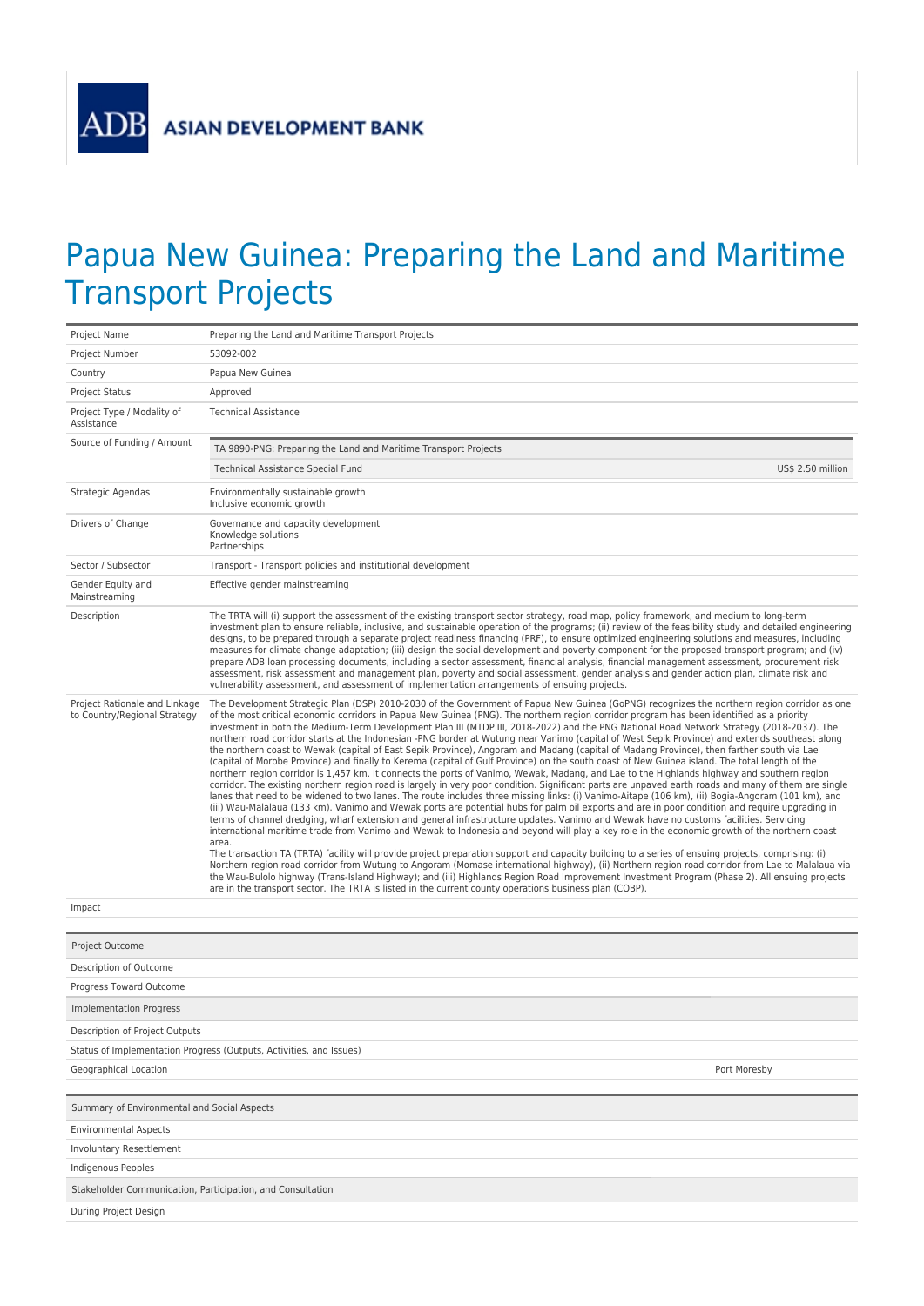## Papua New Guinea: Preparing the Land and Maritime Transport Projects

| Project Name                                                        | Preparing the Land and Maritime Transport Projects                                                                                                                                                                                                                                                                                                                                                                                                                                                                                                                                                                                                                                                                                                                                                                                                                                                                                                                                                                                                                                                                                                                                                                                                                                                                                                                                                                                                                                                                                                                                                                                                                                                                                                                                                                                                                                                                                                                                                                                                                                                                                                                                                                                                                                                                                                                        |  |  |  |  |
|---------------------------------------------------------------------|---------------------------------------------------------------------------------------------------------------------------------------------------------------------------------------------------------------------------------------------------------------------------------------------------------------------------------------------------------------------------------------------------------------------------------------------------------------------------------------------------------------------------------------------------------------------------------------------------------------------------------------------------------------------------------------------------------------------------------------------------------------------------------------------------------------------------------------------------------------------------------------------------------------------------------------------------------------------------------------------------------------------------------------------------------------------------------------------------------------------------------------------------------------------------------------------------------------------------------------------------------------------------------------------------------------------------------------------------------------------------------------------------------------------------------------------------------------------------------------------------------------------------------------------------------------------------------------------------------------------------------------------------------------------------------------------------------------------------------------------------------------------------------------------------------------------------------------------------------------------------------------------------------------------------------------------------------------------------------------------------------------------------------------------------------------------------------------------------------------------------------------------------------------------------------------------------------------------------------------------------------------------------------------------------------------------------------------------------------------------------|--|--|--|--|
| Project Number                                                      | 53092-002                                                                                                                                                                                                                                                                                                                                                                                                                                                                                                                                                                                                                                                                                                                                                                                                                                                                                                                                                                                                                                                                                                                                                                                                                                                                                                                                                                                                                                                                                                                                                                                                                                                                                                                                                                                                                                                                                                                                                                                                                                                                                                                                                                                                                                                                                                                                                                 |  |  |  |  |
| Country                                                             | Papua New Guinea                                                                                                                                                                                                                                                                                                                                                                                                                                                                                                                                                                                                                                                                                                                                                                                                                                                                                                                                                                                                                                                                                                                                                                                                                                                                                                                                                                                                                                                                                                                                                                                                                                                                                                                                                                                                                                                                                                                                                                                                                                                                                                                                                                                                                                                                                                                                                          |  |  |  |  |
| <b>Project Status</b>                                               | Approved                                                                                                                                                                                                                                                                                                                                                                                                                                                                                                                                                                                                                                                                                                                                                                                                                                                                                                                                                                                                                                                                                                                                                                                                                                                                                                                                                                                                                                                                                                                                                                                                                                                                                                                                                                                                                                                                                                                                                                                                                                                                                                                                                                                                                                                                                                                                                                  |  |  |  |  |
| Project Type / Modality of<br>Assistance                            | <b>Technical Assistance</b>                                                                                                                                                                                                                                                                                                                                                                                                                                                                                                                                                                                                                                                                                                                                                                                                                                                                                                                                                                                                                                                                                                                                                                                                                                                                                                                                                                                                                                                                                                                                                                                                                                                                                                                                                                                                                                                                                                                                                                                                                                                                                                                                                                                                                                                                                                                                               |  |  |  |  |
| Source of Funding / Amount                                          | TA 9890-PNG: Preparing the Land and Maritime Transport Projects                                                                                                                                                                                                                                                                                                                                                                                                                                                                                                                                                                                                                                                                                                                                                                                                                                                                                                                                                                                                                                                                                                                                                                                                                                                                                                                                                                                                                                                                                                                                                                                                                                                                                                                                                                                                                                                                                                                                                                                                                                                                                                                                                                                                                                                                                                           |  |  |  |  |
|                                                                     | Technical Assistance Special Fund<br>US\$ 2.50 million                                                                                                                                                                                                                                                                                                                                                                                                                                                                                                                                                                                                                                                                                                                                                                                                                                                                                                                                                                                                                                                                                                                                                                                                                                                                                                                                                                                                                                                                                                                                                                                                                                                                                                                                                                                                                                                                                                                                                                                                                                                                                                                                                                                                                                                                                                                    |  |  |  |  |
| Strategic Agendas                                                   | Environmentally sustainable growth<br>Inclusive economic growth                                                                                                                                                                                                                                                                                                                                                                                                                                                                                                                                                                                                                                                                                                                                                                                                                                                                                                                                                                                                                                                                                                                                                                                                                                                                                                                                                                                                                                                                                                                                                                                                                                                                                                                                                                                                                                                                                                                                                                                                                                                                                                                                                                                                                                                                                                           |  |  |  |  |
| Drivers of Change                                                   | Governance and capacity development<br>Knowledge solutions<br>Partnerships                                                                                                                                                                                                                                                                                                                                                                                                                                                                                                                                                                                                                                                                                                                                                                                                                                                                                                                                                                                                                                                                                                                                                                                                                                                                                                                                                                                                                                                                                                                                                                                                                                                                                                                                                                                                                                                                                                                                                                                                                                                                                                                                                                                                                                                                                                |  |  |  |  |
| Sector / Subsector                                                  | Transport - Transport policies and institutional development                                                                                                                                                                                                                                                                                                                                                                                                                                                                                                                                                                                                                                                                                                                                                                                                                                                                                                                                                                                                                                                                                                                                                                                                                                                                                                                                                                                                                                                                                                                                                                                                                                                                                                                                                                                                                                                                                                                                                                                                                                                                                                                                                                                                                                                                                                              |  |  |  |  |
| Gender Equity and<br>Mainstreaming                                  | Effective gender mainstreaming                                                                                                                                                                                                                                                                                                                                                                                                                                                                                                                                                                                                                                                                                                                                                                                                                                                                                                                                                                                                                                                                                                                                                                                                                                                                                                                                                                                                                                                                                                                                                                                                                                                                                                                                                                                                                                                                                                                                                                                                                                                                                                                                                                                                                                                                                                                                            |  |  |  |  |
| Description                                                         | The TRTA will (i) support the assessment of the existing transport sector strategy, road map, policy framework, and medium to long-term<br>investment plan to ensure reliable, inclusive, and sustainable operation of the programs; (ii) review of the feasibility study and detailed engineering<br>designs, to be prepared through a separate project readiness financing (PRF), to ensure optimized engineering solutions and measures, including<br>measures for climate change adaptation; (iii) design the social development and poverty component for the proposed transport program; and (iv)<br>prepare ADB loan processing documents, including a sector assessment, financial analysis, financial management assessment, procurement risk<br>assessment, risk assessment and management plan, poverty and social assessment, gender analysis and gender action plan, climate risk and<br>vulnerability assessment, and assessment of implementation arrangements of ensuing projects.                                                                                                                                                                                                                                                                                                                                                                                                                                                                                                                                                                                                                                                                                                                                                                                                                                                                                                                                                                                                                                                                                                                                                                                                                                                                                                                                                                        |  |  |  |  |
| Project Rationale and Linkage<br>to Country/Regional Strategy       | The Development Strategic Plan (DSP) 2010-2030 of the Government of Papua New Guinea (GoPNG) recognizes the northern region corridor as one<br>of the most critical economic corridors in Papua New Guinea (PNG). The northern region corridor program has been identified as a priority<br>investment in both the Medium-Term Development Plan III (MTDP III, 2018-2022) and the PNG National Road Network Strategy (2018-2037). The<br>northern road corridor starts at the Indonesian -PNG border at Wutung near Vanimo (capital of West Sepik Province) and extends southeast along<br>the northern coast to Wewak (capital of East Sepik Province), Angoram and Madang (capital of Madang Province), then farther south via Lae<br>(capital of Morobe Province) and finally to Kerema (capital of Gulf Province) on the south coast of New Guinea island. The total length of the<br>northern region corridor is 1,457 km. It connects the ports of Vanimo, Wewak, Madang, and Lae to the Highlands highway and southern region<br>corridor. The existing northern region road is largely in very poor condition. Significant parts are unpaved earth roads and many of them are single<br>lanes that need to be widened to two lanes. The route includes three missing links: (i) Vanimo-Aitape (106 km), (ii) Bogia-Angoram (101 km), and<br>(iii) Wau-Malalaua (133 km). Vanimo and Wewak ports are potential hubs for palm oil exports and are in poor condition and require upgrading in<br>terms of channel dredging, wharf extension and general infrastructure updates. Vanimo and Wewak have no customs facilities. Servicing<br>international maritime trade from Vanimo and Wewak to Indonesia and beyond will play a key role in the economic growth of the northern coast<br>area.<br>The transaction TA (TRTA) facility will provide project preparation support and capacity building to a series of ensuing projects, comprising: (i)<br>Northern region road corridor from Wutung to Angoram (Momase international highway), (ii) Northern region road corridor from Lae to Malalaua via<br>the Wau-Bulolo highway (Trans-Island Highway); and (iii) Highlands Region Road Improvement Investment Program (Phase 2). All ensuing projects<br>are in the transport sector. The TRTA is listed in the current county operations business plan (COBP). |  |  |  |  |
| Impact                                                              |                                                                                                                                                                                                                                                                                                                                                                                                                                                                                                                                                                                                                                                                                                                                                                                                                                                                                                                                                                                                                                                                                                                                                                                                                                                                                                                                                                                                                                                                                                                                                                                                                                                                                                                                                                                                                                                                                                                                                                                                                                                                                                                                                                                                                                                                                                                                                                           |  |  |  |  |
|                                                                     |                                                                                                                                                                                                                                                                                                                                                                                                                                                                                                                                                                                                                                                                                                                                                                                                                                                                                                                                                                                                                                                                                                                                                                                                                                                                                                                                                                                                                                                                                                                                                                                                                                                                                                                                                                                                                                                                                                                                                                                                                                                                                                                                                                                                                                                                                                                                                                           |  |  |  |  |
| Project Outcome                                                     |                                                                                                                                                                                                                                                                                                                                                                                                                                                                                                                                                                                                                                                                                                                                                                                                                                                                                                                                                                                                                                                                                                                                                                                                                                                                                                                                                                                                                                                                                                                                                                                                                                                                                                                                                                                                                                                                                                                                                                                                                                                                                                                                                                                                                                                                                                                                                                           |  |  |  |  |
| Description of Outcome                                              |                                                                                                                                                                                                                                                                                                                                                                                                                                                                                                                                                                                                                                                                                                                                                                                                                                                                                                                                                                                                                                                                                                                                                                                                                                                                                                                                                                                                                                                                                                                                                                                                                                                                                                                                                                                                                                                                                                                                                                                                                                                                                                                                                                                                                                                                                                                                                                           |  |  |  |  |
| Progress Toward Outcome                                             |                                                                                                                                                                                                                                                                                                                                                                                                                                                                                                                                                                                                                                                                                                                                                                                                                                                                                                                                                                                                                                                                                                                                                                                                                                                                                                                                                                                                                                                                                                                                                                                                                                                                                                                                                                                                                                                                                                                                                                                                                                                                                                                                                                                                                                                                                                                                                                           |  |  |  |  |
| <b>Implementation Progress</b>                                      |                                                                                                                                                                                                                                                                                                                                                                                                                                                                                                                                                                                                                                                                                                                                                                                                                                                                                                                                                                                                                                                                                                                                                                                                                                                                                                                                                                                                                                                                                                                                                                                                                                                                                                                                                                                                                                                                                                                                                                                                                                                                                                                                                                                                                                                                                                                                                                           |  |  |  |  |
| Description of Project Outputs                                      |                                                                                                                                                                                                                                                                                                                                                                                                                                                                                                                                                                                                                                                                                                                                                                                                                                                                                                                                                                                                                                                                                                                                                                                                                                                                                                                                                                                                                                                                                                                                                                                                                                                                                                                                                                                                                                                                                                                                                                                                                                                                                                                                                                                                                                                                                                                                                                           |  |  |  |  |
| Status of Implementation Progress (Outputs, Activities, and Issues) |                                                                                                                                                                                                                                                                                                                                                                                                                                                                                                                                                                                                                                                                                                                                                                                                                                                                                                                                                                                                                                                                                                                                                                                                                                                                                                                                                                                                                                                                                                                                                                                                                                                                                                                                                                                                                                                                                                                                                                                                                                                                                                                                                                                                                                                                                                                                                                           |  |  |  |  |
| Geographical Location                                               | Port Moresby                                                                                                                                                                                                                                                                                                                                                                                                                                                                                                                                                                                                                                                                                                                                                                                                                                                                                                                                                                                                                                                                                                                                                                                                                                                                                                                                                                                                                                                                                                                                                                                                                                                                                                                                                                                                                                                                                                                                                                                                                                                                                                                                                                                                                                                                                                                                                              |  |  |  |  |
| Summary of Environmental and Social Aspects                         |                                                                                                                                                                                                                                                                                                                                                                                                                                                                                                                                                                                                                                                                                                                                                                                                                                                                                                                                                                                                                                                                                                                                                                                                                                                                                                                                                                                                                                                                                                                                                                                                                                                                                                                                                                                                                                                                                                                                                                                                                                                                                                                                                                                                                                                                                                                                                                           |  |  |  |  |
| <b>Environmental Aspects</b>                                        |                                                                                                                                                                                                                                                                                                                                                                                                                                                                                                                                                                                                                                                                                                                                                                                                                                                                                                                                                                                                                                                                                                                                                                                                                                                                                                                                                                                                                                                                                                                                                                                                                                                                                                                                                                                                                                                                                                                                                                                                                                                                                                                                                                                                                                                                                                                                                                           |  |  |  |  |
| Involuntary Resettlement                                            |                                                                                                                                                                                                                                                                                                                                                                                                                                                                                                                                                                                                                                                                                                                                                                                                                                                                                                                                                                                                                                                                                                                                                                                                                                                                                                                                                                                                                                                                                                                                                                                                                                                                                                                                                                                                                                                                                                                                                                                                                                                                                                                                                                                                                                                                                                                                                                           |  |  |  |  |
| Indigenous Peoples                                                  |                                                                                                                                                                                                                                                                                                                                                                                                                                                                                                                                                                                                                                                                                                                                                                                                                                                                                                                                                                                                                                                                                                                                                                                                                                                                                                                                                                                                                                                                                                                                                                                                                                                                                                                                                                                                                                                                                                                                                                                                                                                                                                                                                                                                                                                                                                                                                                           |  |  |  |  |
| Stakeholder Communication, Participation, and Consultation          |                                                                                                                                                                                                                                                                                                                                                                                                                                                                                                                                                                                                                                                                                                                                                                                                                                                                                                                                                                                                                                                                                                                                                                                                                                                                                                                                                                                                                                                                                                                                                                                                                                                                                                                                                                                                                                                                                                                                                                                                                                                                                                                                                                                                                                                                                                                                                                           |  |  |  |  |
| During Project Design                                               |                                                                                                                                                                                                                                                                                                                                                                                                                                                                                                                                                                                                                                                                                                                                                                                                                                                                                                                                                                                                                                                                                                                                                                                                                                                                                                                                                                                                                                                                                                                                                                                                                                                                                                                                                                                                                                                                                                                                                                                                                                                                                                                                                                                                                                                                                                                                                                           |  |  |  |  |
|                                                                     |                                                                                                                                                                                                                                                                                                                                                                                                                                                                                                                                                                                                                                                                                                                                                                                                                                                                                                                                                                                                                                                                                                                                                                                                                                                                                                                                                                                                                                                                                                                                                                                                                                                                                                                                                                                                                                                                                                                                                                                                                                                                                                                                                                                                                                                                                                                                                                           |  |  |  |  |